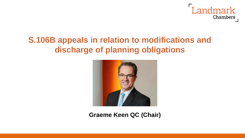

# **S.106B appeals in relation to modifications and discharge of planning obligations**



**Graeme Keen QC (Chair)**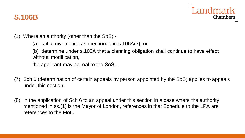

## **S.106B**

- (1) Where an authority (other than the SoS)
	- (a) fail to give notice as mentioned in s.106A(7); or

(b) determine under s.106A that a planning obligation shall continue to have effect without modification,

the applicant may appeal to the SoS…

- (7) Sch 6 (determination of certain appeals by person appointed by the SoS) applies to appeals under this section.
- (8) In the application of Sch 6 to an appeal under this section in a case where the authority mentioned in ss.(1) is the Mayor of London, references in that Schedule to the LPA are references to the MoL.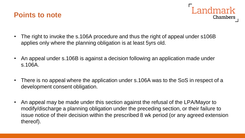



- The right to invoke the s.106A procedure and thus the right of appeal under s106B applies only where the planning obligation is at least 5yrs old.
- An appeal under s.106B is against a decision following an application made under s.106A.
- There is no appeal where the application under s.106A was to the SoS in respect of a development consent obligation.
- An appeal may be made under this section against the refusal of the LPA/Mayor to modify/discharge a planning obligation under the preceding section, or their failure to issue notice of their decision within the prescribed 8 wk period (or any agreed extension thereof).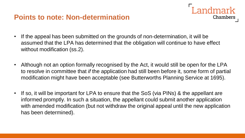## **Points to note: Non-determination**

• If the appeal has been submitted on the grounds of non-determination, it will be assumed that the LPA has determined that the obligation will continue to have effect without modification (ss.2).

Landmark

**Chambers** 

- Although not an option formally recognised by the Act, it would still be open for the LPA to resolve in committee that *if* the application had still been before it, some form of partial modification might have been acceptable (see Butterworths Planning Service at 1695).
- If so, it will be important for LPA to ensure that the SoS (via PINs) & the appellant are informed promptly. In such a situation, the appellant could submit another application with amended modification (but not withdraw the original appeal until the new application has been determined).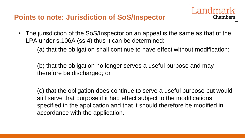## **Points to note: Jurisdiction of SoS/Inspector**

• The jurisdiction of the SoS/Inspector on an appeal is the same as that of the LPA under s.106A (ss.4) thus it can be determined:

(a) that the obligation shall continue to have effect without modification;

ndmark

Chambers

(b) that the obligation no longer serves a useful purpose and may therefore be discharged; or

(c) that the obligation does continue to serve a useful purpose but would still serve that purpose if it had effect subject to the modifications specified in the application and that it should therefore be modified in accordance with the application.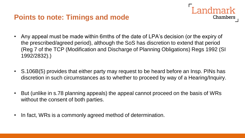## **Points to note: Timings and mode**



- Any appeal must be made within 6mths of the date of LPA's decision (or the expiry of the prescribed/agreed period), although the SoS has discretion to extend that period (Reg 7 of the TCP (Modification and Discharge of Planning Obligations) Regs 1992 (SI 1992/2832).)
- S.106B(5) provides that either party may request to be heard before an Insp. PINs has discretion in such circumstances as to whether to proceed by way of a Hearing/Inquiry.
- But (unlike in s.78 planning appeals) the appeal cannot proceed on the basis of WRs without the consent of both parties.
- In fact, WRs is a commonly agreed method of determination.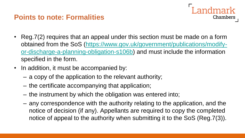## **Points to note: Formalities**

- ndmark Chambers
- Reg. 7(2) requires that an appeal under this section must be made on a form obtained from the SoS (https://www.gov.uk/government/publications/modify[or-discharge-a-planning-obligation-s106b\) and must include the information](https://www.gov.uk/government/publications/modify-or-discharge-a-planning-obligation-s106b)  specified in the form.
- In addition, it must be accompanied by:
	- a copy of the application to the relevant authority;
	- the certificate accompanying that application;
	- the instrument by which the obligation was entered into;
	- any correspondence with the authority relating to the application, and the notice of decision (if any). Appellants are required to copy the completed notice of appeal to the authority when submitting it to the SoS (Reg.7(3)).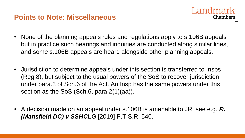## **Points to Note: Miscellaneous**

- ndmark Chambers
- None of the planning appeals rules and regulations apply to s.106B appeals but in practice such hearings and inquiries are conducted along similar lines, and some s.106B appeals are heard alongside other planning appeals.
- Jurisdiction to determine appeals under this section is transferred to Insps (Reg.8), but subject to the usual powers of the SoS to recover jurisdiction under para.3 of Sch.6 of the Act. An Insp has the same powers under this section as the SoS (Sch.6, para.2(1)(aa)).
- A decision made on an appeal under s.106B is amenable to JR: see e.g. *R. (Mansfield DC) v SSHCLG* [2019] P.T.S.R. 540.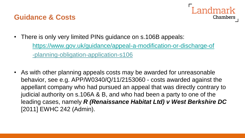## **Guidance & Costs**



- There is only very limited PINs guidance on s.106B appeals: <https://www.gov.uk/guidance/appeal-a-modification-or-discharge-of> -planning-obligation-application-s106
- As with other planning appeals costs may be awarded for unreasonable behavior, see e.g. APP/W0340/Q/11/2153060 - costs awarded against the appellant company who had pursued an appeal that was directly contrary to judicial authority on s.106A & B, and who had been a party to one of the leading cases, namely *R (Renaissance Habitat Ltd) v West Berkshire DC* [2011] EWHC 242 (Admin).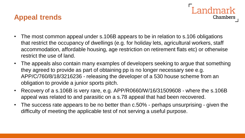## **Appeal trends**

• The most common appeal under s.106B appears to be in relation to s.106 obligations that restrict the occupancy of dwellings (e.g. for holiday lets, agricultural workers, staff accommodation, affordable housing, age restriction on retirement flats etc) or otherwise restrict the use of land.

Landmark

**Chambers** 

- The appeals also contain many examples of developers seeking to argue that something they agreed to provide as part of obtaining pp is no longer necessary see e.g. APP/C/760/8/18/3216236 - releasing the developer of a 530 house scheme from an obligation to provide a junior sports pitch.
- Recovery of a s.106B is very rare, e.g. APP/R0660/W/16/31509608 where the s.106B appeal was related to and parasitic on a s.78 appeal that had been recovered.
- The success rate appears to be no better than c.50% perhaps unsurprising given the difficulty of meeting the applicable test of not serving a useful purpose.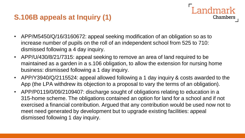## **S.106B appeals at Inquiry (1)**

- APP/M5450/Q/16/3160672: appeal seeking modification of an obligation so as to increase number of pupils on the roll of an independent school from 525 to 710: dismissed following a 4 day inquiry.
- APP/U/430/8/21/7315: appeal seeking to remove an area of land required to be maintained as a garden in a s.106 obligation, to allow the extension for nursing home business: dismissed following a 1 day inquiry.
- APP/Y3940/Q/2115524: appeal allowed following a 1 day inquiry & costs awarded to the App (the LPA withdrew its objection to a proposal to vary the terms of an obligation).

**Landmark** 

**Chambers** 

• APP/P0119/0/09/2109407: discharge sought of obligations relating to education in a 315-home scheme. The obligations contained an option for land for a school and if not exercised a financial contribution. Argued that any contribution would be used now not to meet need generated by development but to upgrade existing facilities: appeal dismissed following 1 day inquiry.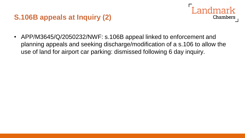## **S.106B appeals at Inquiry (2)**

- **Chambers**
- APP/M3645/Q/2050232/NWF: s.106B appeal linked to enforcement and planning appeals and seeking discharge/modification of a s.106 to allow the use of land for airport car parking: dismissed following 6 day inquiry.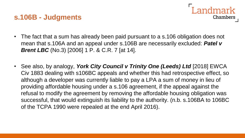## **s.106B - Judgments**



- The fact that a sum has already been paid pursuant to a s.106 obligation does not mean that s.106A and an appeal under s.106B are necessarily excluded: *Patel v Brent LBC* (No.3) [2006] 1 P. & C.R. 7 [at 14].
- See also, by analogy, *York City Council v Trinity One (Leeds) Ltd* [2018] EWCA Civ 1883 dealing with s106BC appeals and whether this had retrospective effect, so although a developer was currently liable to pay a LPA a sum of money in lieu of providing affordable housing under a s.106 agreement, if the appeal against the refusal to modify the agreement by removing the affordable housing obligation was successful, that would extinguish its liability to the authority. (n.b. s.106BA to 106BC of the TCPA 1990 were repealed at the end April 2016).